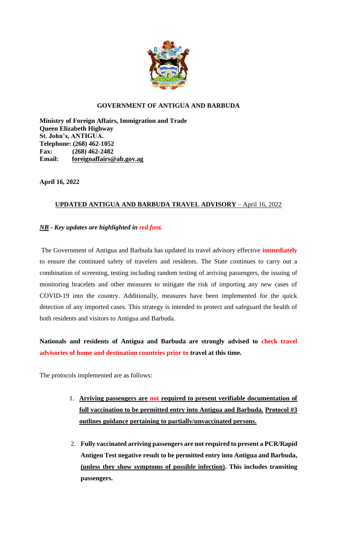

## **GOVERNMENT OF ANTIGUA AND BARBUDA**

**Ministry of Foreign Affairs, Immigration and Trade Queen Elizabeth Highway St. John's, ANTIGUA. Telephone: (268) 462-1052 Fax: (268) 462-2482 Email: [foreignaffairs@ab.gov.ag](mailto:foreignaffairs@ab.gov.ag)**

**April 16, 2022**

## **UPDATED ANTIGUA AND BARBUDA TRAVEL ADVISORY** – April 16, 2022

## *NB* **-** *Key updates are highlighted in red font.*

The Government of Antigua and Barbuda has updated its travel advisory effective **immediately** to ensure the continued safety of travelers and residents. The State continues to carry out a combination of screening, testing including random testing of arriving passengers, the issuing of monitoring bracelets and other measures to mitigate the risk of importing any new cases of COVID-19 into the country. Additionally, measures have been implemented for the quick detection of any imported cases. This strategy is intended to protect and safeguard the health of both residents and visitors to Antigua and Barbuda.

**Nationals and residents of Antigua and Barbuda are strongly advised to check travel advisories of home and destination countries prior to travel at this time.** 

The protocols implemented are as follows:

- 1. **Arriving passengers are not required to present verifiable documentation of full vaccination to be permitted entry into Antigua and Barbuda. Protocol #3 outlines guidance pertaining to partially/unvaccinated persons.**
- 2. **Fully vaccinated arriving passengers are not required to present a PCR/Rapid Antigen Test negative result to be permitted entry into Antigua and Barbuda, (unless they show symptoms of possible infection). This includes transiting passengers.**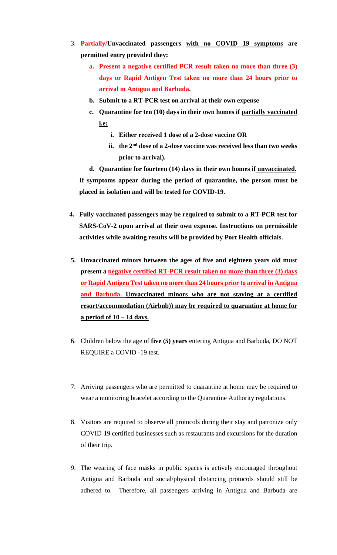- 3. **Partially/Unvaccinated passengers with no COVID 19 symptoms are permitted entry provided they:**
	- **a. Present a negative certified PCR result taken no more than three (3) days or Rapid Antigen Test taken no more than 24 hours prior to arrival in Antigua and Barbuda.**
	- **b. Submit to a RT-PCR test on arrival at their own expense**
	- **c. Quarantine for ten (10) days in their own homes if partially vaccinated i.e:**
		- **i. Either received 1 dose of a 2-dose vaccine OR**
		- **ii. the 2nd dose of a 2-dose vaccine was received less than two weeks prior to arrival).**

**d. Quarantine for fourteen (14) days in their own homes if unvaccinated. If symptoms appear during the period of quarantine, the person must be placed in isolation and will be tested for COVID-19.**

- **4. Fully vaccinated passengers may be required to submit to a RT-PCR test for SARS-CoV-2 upon arrival at their own expense. Instructions on permissible activities while awaiting results will be provided by Port Health officials.**
- **5. Unvaccinated minors between the ages of five and eighteen years old must present a negative certified RT-PCR result taken no more than three (3) days or Rapid Antigen Test taken no more than 24 hours prior to arrival in Antigua and Barbuda. Unvaccinated minors who are not staying at a certified resort/accommodation (Airbnb)) may be required to quarantine at home for a period of 10 – 14 days.**
- 6. Children below the age of **five (5) years** entering Antigua and Barbuda, DO NOT REQUIRE a COVID -19 test.
- 7. Arriving passengers who are permitted to quarantine at home may be required to wear a monitoring bracelet according to the Quarantine Authority regulations.
- 8. Visitors are required to observe all protocols during their stay and patronize only COVID-19 certified businesses such as restaurants and excursions for the duration of their trip.
- 9. The wearing of face masks in public spaces is actively encouraged throughout Antigua and Barbuda and social/physical distancing protocols should still be adhered to. Therefore, all passengers arriving in Antigua and Barbuda are